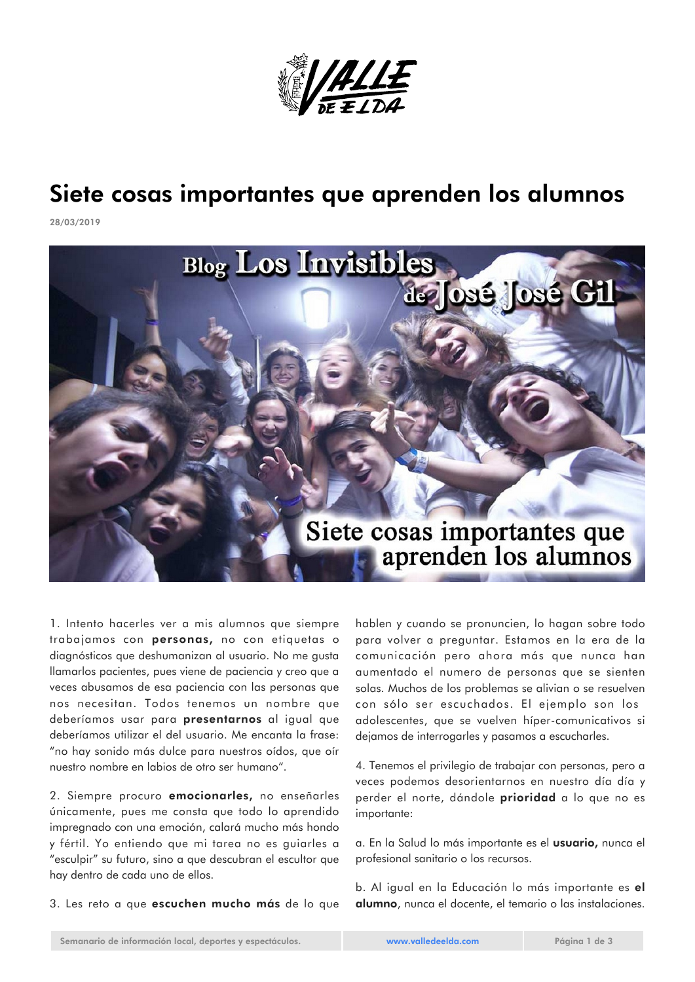

## Siete cosas importantes que aprenden los alumnos

28/03/2019



1. Intento hacerles ver a mis alumnos que siempre trabajamos con personas, no con etiquetas o diagnósticos que deshumanizan al usuario. No me gusta llamarlos pacientes, pues viene de paciencia y creo que a veces abusamos de esa paciencia con las personas que nos necesitan. Todos tenemos un nombre que deberíamos usar para presentarnos al igual que deberíamos utilizar el del usuario. Me encanta la frase: "no hay sonido más dulce para nuestros oídos, que oír nuestro nombre en labios de otro ser humano".

2. Siempre procuro emocionarles, no enseñarles únicamente, pues me consta que todo lo aprendido impregnado con una emoción, calará mucho más hondo y fértil. Yo entiendo que mi tarea no es guiarles a "esculpir" su futuro, sino a que descubran el escultor que hay dentro de cada uno de ellos.

3. Les reto a que escuchen mucho más de lo que

hablen y cuando se pronuncien, lo hagan sobre todo para volver a preguntar. Estamos en la era de la comunicación pero ahora más que nunca han aumentado el numero de personas que se sienten solas. Muchos de los problemas se alivian o se resuelven con sólo ser escuchados. El ejemplo son los adolescentes, que se vuelven híper-comunicativos si dejamos de interrogarles y pasamos a escucharles.

4. Tenemos el privilegio de trabajar con personas, pero a veces podemos desorientarnos en nuestro día día y perder el norte, dándole **prioridad** a lo que no es importante:

a. En la Salud lo más importante es el usuario, nunca el profesional sanitario o los recursos.

b. Al igual en la Educación lo más importante es el alumno, nunca el docente, el temario o las instalaciones.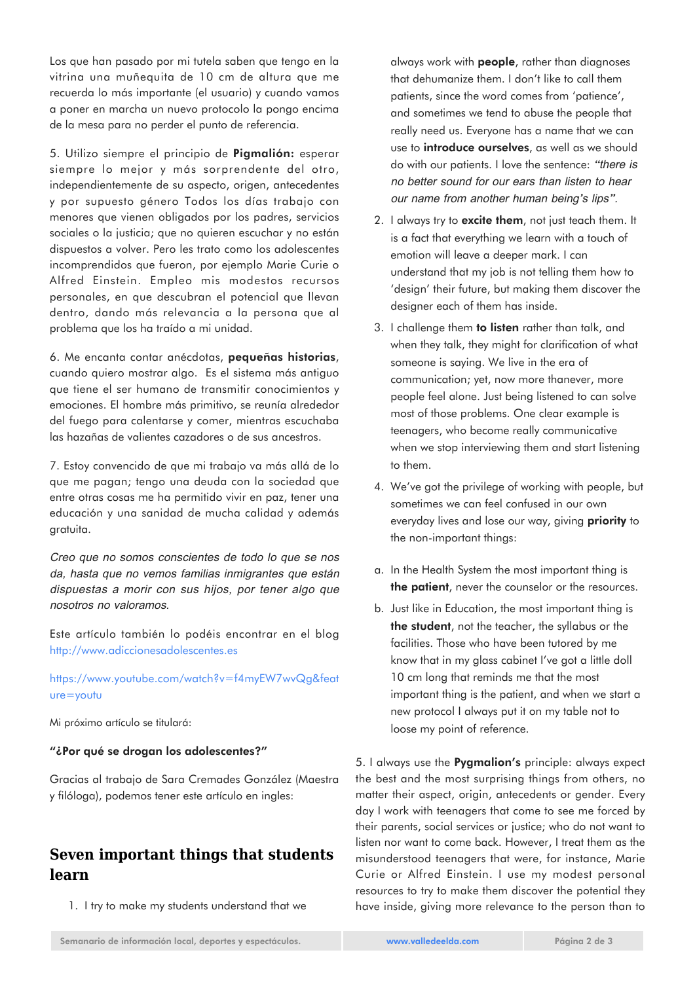Los que han pasado por mi tutela saben que tengo en la vitrina una muñequita de 10 cm de altura que me recuerda lo más importante (el usuario) y cuando vamos a poner en marcha un nuevo protocolo la pongo encima de la mesa para no perder el punto de referencia.

5. Utilizo siempre el principio de Pigmalión: esperar siempre lo mejor y más sorprendente del otro, independientemente de su aspecto, origen, antecedentes y por supuesto género Todos los días trabajo con menores que vienen obligados por los padres, servicios sociales o la justicia; que no quieren escuchar y no están dispuestos a volver. Pero les trato como los adolescentes incomprendidos que fueron, por ejemplo Marie Curie o Alfred Einstein. Empleo mis modestos recursos personales, en que descubran el potencial que llevan dentro, dando más relevancia a la persona que al problema que los ha traído a mi unidad.

6. Me encanta contar anécdotas, pequeñas historias, cuando quiero mostrar algo. Es el sistema más antiguo que tiene el ser humano de transmitir conocimientos y emociones. El hombre más primitivo, se reunía alrededor del fuego para calentarse y comer, mientras escuchaba las hazañas de valientes cazadores o de sus ancestros.

7. Estoy convencido de que mi trabajo va más allá de lo que me pagan; tengo una deuda con la sociedad que entre otras cosas me ha permitido vivir en paz, tener una educación y una sanidad de mucha calidad y además gratuita.

Creo que no somos conscientes de todo lo que se nos da, hasta que no vemos familias inmigrantes que están dispuestas a morir con sus hijos, por tener algo que nosotros no valoramos.

Este artículo también lo podéis encontrar en el blog <http://www.adiccionesadolescentes.es>

[https://www.youtube.com/watch?v=f4myEW7wvQg&feat](https://www.youtube.com/watch?v=f4myEW7wvQg&feature=youtu) [ure=youtu](https://www.youtube.com/watch?v=f4myEW7wvQg&feature=youtu)

Mi próximo artículo se titulará:

## "¿Por qué se drogan los adolescentes?"

Gracias al trabajo de Sara Cremades González (Maestra y filóloga), podemos tener este artículo en ingles:

## **Seven important things that students learn**

1. I try to make my students understand that we

always work with people, rather than diagnoses that dehumanize them. I don't like to call them patients, since the word comes from 'patience', and sometimes we tend to abuse the people that really need us. Everyone has a name that we can use to **introduce ourselves**, as well as we should do with our patients. I love the sentence: "there is no better sound for our ears than listen to hear our name from another human being's lips".

- 2. I always try to excite them, not just teach them. It is a fact that everything we learn with a touch of emotion will leave a deeper mark. I can understand that my job is not telling them how to 'design' their future, but making them discover the designer each of them has inside.
- 3. I challenge them to listen rather than talk, and when they talk, they might for clarification of what someone is saying. We live in the era of communication; yet, now more thanever, more people feel alone. Just being listened to can solve most of those problems. One clear example is teenagers, who become really communicative when we stop interviewing them and start listening to them.
- 4. We've got the privilege of working with people, but sometimes we can feel confused in our own everyday lives and lose our way, giving **priority** to the non-important things:
- a. In the Health System the most important thing is the patient, never the counselor or the resources.
- b. Just like in Education, the most important thing is the student, not the teacher, the syllabus or the facilities. Those who have been tutored by me know that in my glass cabinet I've got a little doll 10 cm long that reminds me that the most important thing is the patient, and when we start a new protocol I always put it on my table not to loose my point of reference.

5. I always use the **Pyamalion's** principle: always expect the best and the most surprising things from others, no matter their aspect, origin, antecedents or gender. Every day I work with teenagers that come to see me forced by their parents, social services or justice; who do not want to listen nor want to come back. However, I treat them as the misunderstood teenagers that were, for instance, Marie Curie or Alfred Einstein. I use my modest personal resources to try to make them discover the potential they have inside, giving more relevance to the person than to